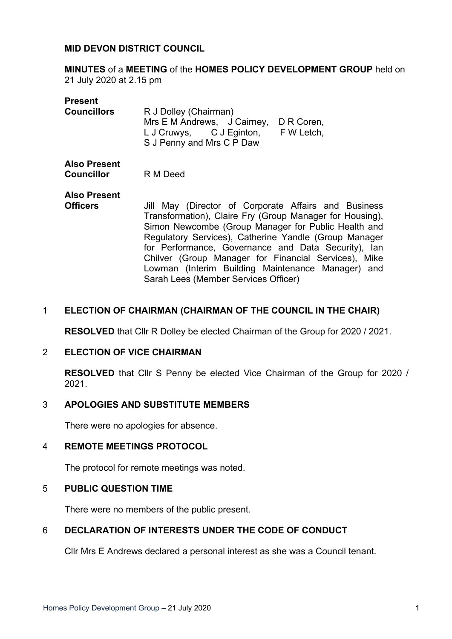### **MID DEVON DISTRICT COUNCIL**

**MINUTES** of a **MEETING** of the **HOMES POLICY DEVELOPMENT GROUP** held on 21 July 2020 at 2.15 pm

| <b>Present</b>                    |                                                                                                                                                                                                                                                                                                                                                                                                      |
|-----------------------------------|------------------------------------------------------------------------------------------------------------------------------------------------------------------------------------------------------------------------------------------------------------------------------------------------------------------------------------------------------------------------------------------------------|
| <b>Councillors</b>                | R J Dolley (Chairman)<br>Mrs E M Andrews, J Cairney,<br>D R Coren,<br>L J Cruwys, C J Eginton,<br>F W Letch,<br>S J Penny and Mrs C P Daw                                                                                                                                                                                                                                                            |
| <b>Also Present</b><br>Councillor | R M Deed                                                                                                                                                                                                                                                                                                                                                                                             |
| <b>Also Present</b>               |                                                                                                                                                                                                                                                                                                                                                                                                      |
| <b>Officers</b>                   | Jill May (Director of Corporate Affairs and Business<br>Transformation), Claire Fry (Group Manager for Housing),<br>Simon Newcombe (Group Manager for Public Health and<br>Regulatory Services), Catherine Yandle (Group Manager<br>for Performance, Governance and Data Security), Ian<br>Chilver (Group Manager for Financial Services), Mike<br>Lowman (Interim Building Maintenance Manager) and |
|                                   | Sarah Lees (Member Services Officer)                                                                                                                                                                                                                                                                                                                                                                 |

#### 1 **ELECTION OF CHAIRMAN (CHAIRMAN OF THE COUNCIL IN THE CHAIR)**

**RESOLVED** that Cllr R Dolley be elected Chairman of the Group for 2020 / 2021.

#### 2 **ELECTION OF VICE CHAIRMAN**

**RESOLVED** that Cllr S Penny be elected Vice Chairman of the Group for 2020 / 2021.

## 3 **APOLOGIES AND SUBSTITUTE MEMBERS**

There were no apologies for absence.

#### 4 **REMOTE MEETINGS PROTOCOL**

The protocol for remote meetings was noted.

#### 5 **PUBLIC QUESTION TIME**

There were no members of the public present.

## 6 **DECLARATION OF INTERESTS UNDER THE CODE OF CONDUCT**

Cllr Mrs E Andrews declared a personal interest as she was a Council tenant.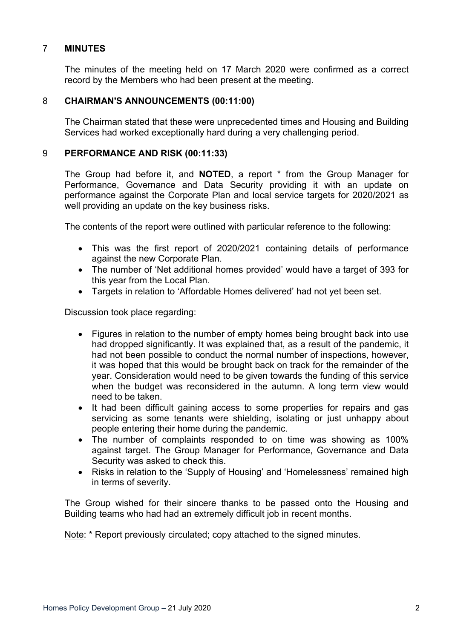## 7 **MINUTES**

The minutes of the meeting held on 17 March 2020 were confirmed as a correct record by the Members who had been present at the meeting.

#### 8 **CHAIRMAN'S ANNOUNCEMENTS (00:11:00)**

The Chairman stated that these were unprecedented times and Housing and Building Services had worked exceptionally hard during a very challenging period.

#### 9 **PERFORMANCE AND RISK (00:11:33)**

The Group had before it, and **NOTED**, a report \* from the Group Manager for Performance, Governance and Data Security providing it with an update on performance against the Corporate Plan and local service targets for 2020/2021 as well providing an update on the key business risks.

The contents of the report were outlined with particular reference to the following:

- This was the first report of 2020/2021 containing details of performance against the new Corporate Plan.
- The number of 'Net additional homes provided' would have a target of 393 for this year from the Local Plan.
- Targets in relation to 'Affordable Homes delivered' had not yet been set.

Discussion took place regarding:

- Figures in relation to the number of empty homes being brought back into use had dropped significantly. It was explained that, as a result of the pandemic, it had not been possible to conduct the normal number of inspections, however, it was hoped that this would be brought back on track for the remainder of the year. Consideration would need to be given towards the funding of this service when the budget was reconsidered in the autumn. A long term view would need to be taken.
- It had been difficult gaining access to some properties for repairs and gas servicing as some tenants were shielding, isolating or just unhappy about people entering their home during the pandemic.
- The number of complaints responded to on time was showing as 100% against target. The Group Manager for Performance, Governance and Data Security was asked to check this.
- Risks in relation to the 'Supply of Housing' and 'Homelessness' remained high in terms of severity.

The Group wished for their sincere thanks to be passed onto the Housing and Building teams who had had an extremely difficult job in recent months.

Note: \* Report previously circulated; copy attached to the signed minutes.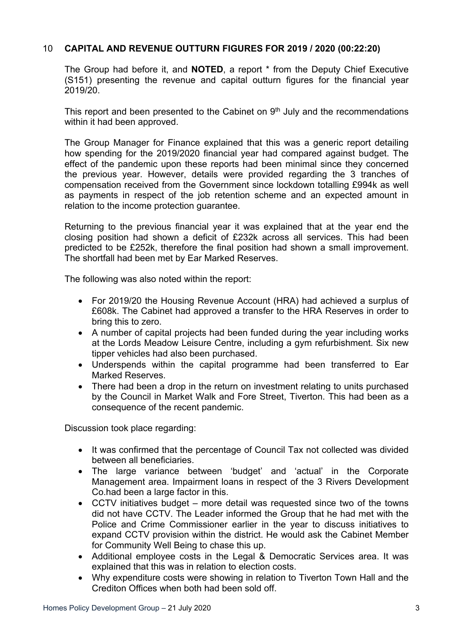## 10 **CAPITAL AND REVENUE OUTTURN FIGURES FOR 2019 / 2020 (00:22:20)**

The Group had before it, and **NOTED**, a report \* from the Deputy Chief Executive (S151) presenting the revenue and capital outturn figures for the financial year 2019/20.

This report and been presented to the Cabinet on 9<sup>th</sup> July and the recommendations within it had been approved.

The Group Manager for Finance explained that this was a generic report detailing how spending for the 2019/2020 financial year had compared against budget. The effect of the pandemic upon these reports had been minimal since they concerned the previous year. However, details were provided regarding the 3 tranches of compensation received from the Government since lockdown totalling £994k as well as payments in respect of the job retention scheme and an expected amount in relation to the income protection guarantee.

Returning to the previous financial year it was explained that at the year end the closing position had shown a deficit of £232k across all services. This had been predicted to be £252k, therefore the final position had shown a small improvement. The shortfall had been met by Ear Marked Reserves.

The following was also noted within the report:

- For 2019/20 the Housing Revenue Account (HRA) had achieved a surplus of £608k. The Cabinet had approved a transfer to the HRA Reserves in order to bring this to zero.
- A number of capital projects had been funded during the year including works at the Lords Meadow Leisure Centre, including a gym refurbishment. Six new tipper vehicles had also been purchased.
- Underspends within the capital programme had been transferred to Ear Marked Reserves.
- There had been a drop in the return on investment relating to units purchased by the Council in Market Walk and Fore Street, Tiverton. This had been as a consequence of the recent pandemic.

Discussion took place regarding:

- It was confirmed that the percentage of Council Tax not collected was divided between all beneficiaries.
- The large variance between 'budget' and 'actual' in the Corporate Management area. Impairment loans in respect of the 3 Rivers Development Co.had been a large factor in this.
- CCTV initiatives budget more detail was requested since two of the towns did not have CCTV. The Leader informed the Group that he had met with the Police and Crime Commissioner earlier in the year to discuss initiatives to expand CCTV provision within the district. He would ask the Cabinet Member for Community Well Being to chase this up.
- Additional employee costs in the Legal & Democratic Services area. It was explained that this was in relation to election costs.
- Why expenditure costs were showing in relation to Tiverton Town Hall and the Crediton Offices when both had been sold off.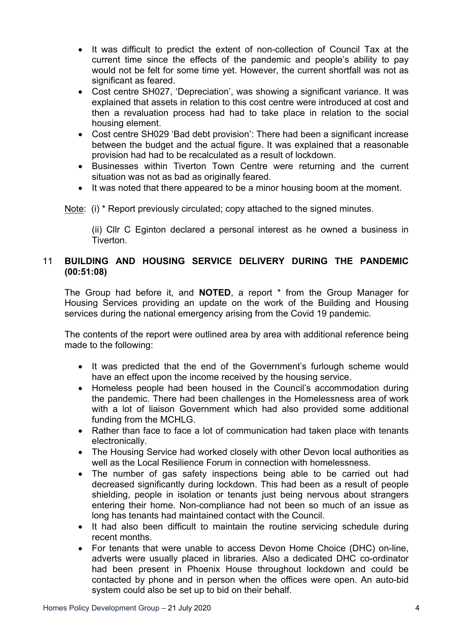- It was difficult to predict the extent of non-collection of Council Tax at the current time since the effects of the pandemic and people's ability to pay would not be felt for some time yet. However, the current shortfall was not as significant as feared.
- Cost centre SH027, 'Depreciation', was showing a significant variance. It was explained that assets in relation to this cost centre were introduced at cost and then a revaluation process had had to take place in relation to the social housing element.
- Cost centre SH029 'Bad debt provision': There had been a significant increase between the budget and the actual figure. It was explained that a reasonable provision had had to be recalculated as a result of lockdown.
- Businesses within Tiverton Town Centre were returning and the current situation was not as bad as originally feared.
- It was noted that there appeared to be a minor housing boom at the moment.

Note: (i) \* Report previously circulated; copy attached to the signed minutes.

(ii) Cllr C Eginton declared a personal interest as he owned a business in Tiverton.

# 11 **BUILDING AND HOUSING SERVICE DELIVERY DURING THE PANDEMIC (00:51:08)**

The Group had before it, and **NOTED**, a report \* from the Group Manager for Housing Services providing an update on the work of the Building and Housing services during the national emergency arising from the Covid 19 pandemic.

The contents of the report were outlined area by area with additional reference being made to the following:

- It was predicted that the end of the Government's furlough scheme would have an effect upon the income received by the housing service.
- Homeless people had been housed in the Council's accommodation during the pandemic. There had been challenges in the Homelessness area of work with a lot of liaison Government which had also provided some additional funding from the MCHLG.
- Rather than face to face a lot of communication had taken place with tenants electronically.
- The Housing Service had worked closely with other Devon local authorities as well as the Local Resilience Forum in connection with homelessness.
- The number of gas safety inspections being able to be carried out had decreased significantly during lockdown. This had been as a result of people shielding, people in isolation or tenants just being nervous about strangers entering their home. Non-compliance had not been so much of an issue as long has tenants had maintained contact with the Council.
- It had also been difficult to maintain the routine servicing schedule during recent months.
- For tenants that were unable to access Devon Home Choice (DHC) on-line, adverts were usually placed in libraries. Also a dedicated DHC co-ordinator had been present in Phoenix House throughout lockdown and could be contacted by phone and in person when the offices were open. An auto-bid system could also be set up to bid on their behalf.